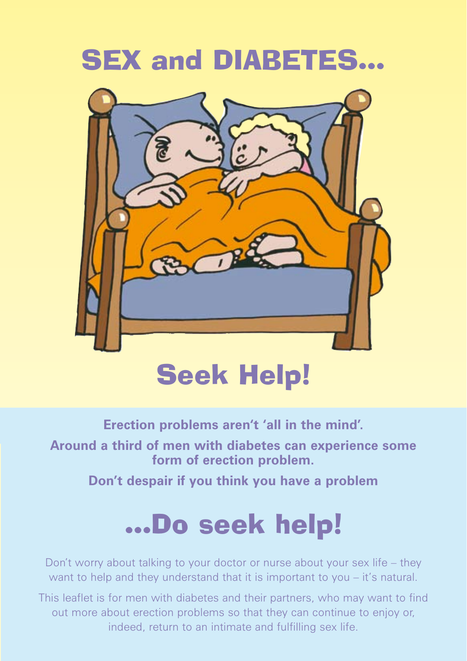# **SEX and DIABETES...**



# Seek Help!

**Erection problems aren't 'all in the mind'.** 

**Around a third of men with diabetes can experience some form of erection problem.** 

**Don't despair if you think you have a problem**

# …Do seek help!

Don't worry about talking to your doctor or nurse about your sex life – they want to help and they understand that it is important to you – it's natural.

This leaflet is for men with diabetes and their partners, who may want to find out more about erection problems so that they can continue to enjoy or, indeed, return to an intimate and fulfilling sex life.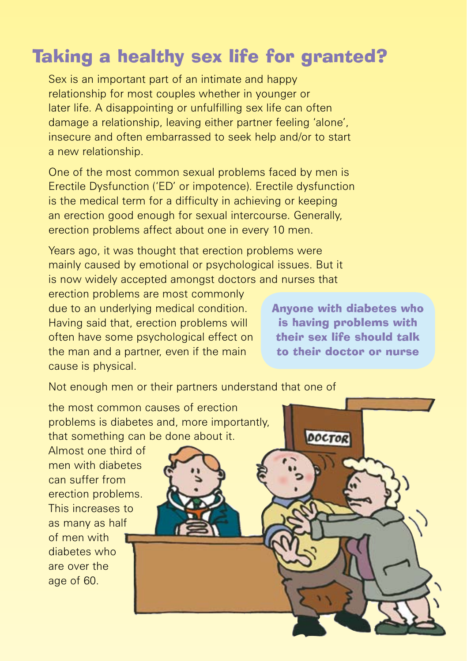# Taking a healthy sex life for granted?

Sex is an important part of an intimate and happy relationship for most couples whether in younger or later life. A disappointing or unfulfilling sex life can often damage a relationship, leaving either partner feeling 'alone', insecure and often embarrassed to seek help and/or to start a new relationship.

One of the most common sexual problems faced by men is Erectile Dysfunction ('ED' or impotence). Erectile dysfunction is the medical term for a difficulty in achieving or keeping an erection good enough for sexual intercourse. Generally, erection problems affect about one in every 10 men.

Years ago, it was thought that erection problems were mainly caused by emotional or psychological issues. But it is now widely accepted amongst doctors and nurses that

erection problems are most commonly due to an underlying medical condition. Having said that, erection problems will often have some psychological effect on the man and a partner, even if the main cause is physical.

Anyone with diabetes who is having problems with their sex life should talk to their doctor or nurse

Not enough men or their partners understand that one of

the most common causes of erection problems is diabetes and, more importantly, that something can be done about it.

Almost one third of men with diabetes can suffer from erection problems. This increases to as many as half of men with diabetes who are over the age of 60.

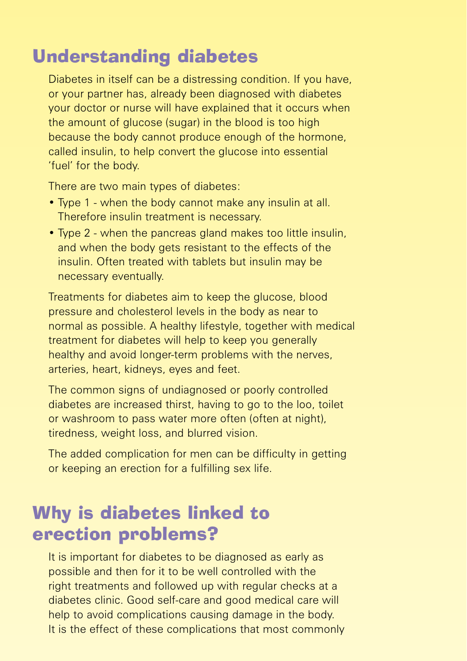## Understanding diabetes

Diabetes in itself can be a distressing condition. If you have, or your partner has, already been diagnosed with diabetes your doctor or nurse will have explained that it occurs when the amount of glucose (sugar) in the blood is too high because the body cannot produce enough of the hormone, called insulin, to help convert the glucose into essential 'fuel' for the body.

There are two main types of diabetes:

- Type 1 when the body cannot make any insulin at all. Therefore insulin treatment is necessary.
- Type 2 when the pancreas gland makes too little insulin, and when the body gets resistant to the effects of the insulin. Often treated with tablets but insulin may be necessary eventually.

Treatments for diabetes aim to keep the glucose, blood pressure and cholesterol levels in the body as near to normal as possible. A healthy lifestyle, together with medical treatment for diabetes will help to keep you generally healthy and avoid longer-term problems with the nerves, arteries, heart, kidneys, eyes and feet.

The common signs of undiagnosed or poorly controlled diabetes are increased thirst, having to go to the loo, toilet or washroom to pass water more often (often at night), tiredness, weight loss, and blurred vision.

The added complication for men can be difficulty in getting or keeping an erection for a fulfilling sex life.

## Why is diabetes linked to erection problems?

It is important for diabetes to be diagnosed as early as possible and then for it to be well controlled with the right treatments and followed up with regular checks at a diabetes clinic. Good self-care and good medical care will help to avoid complications causing damage in the body. It is the effect of these complications that most commonly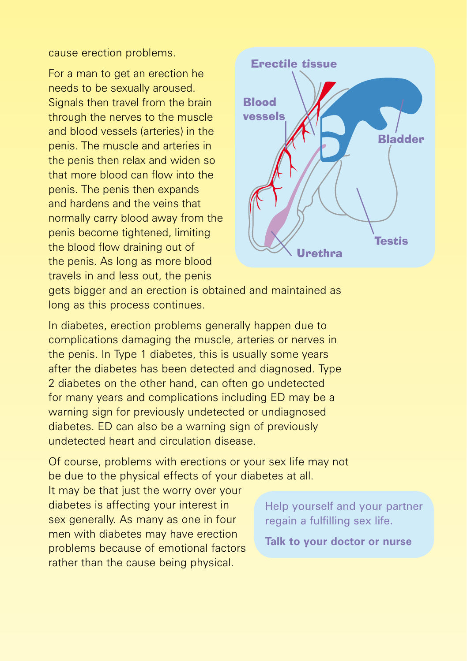cause erection problems.

For a man to get an erection he needs to be sexually aroused. Signals then travel from the brain through the nerves to the muscle and blood vessels (arteries) in the penis. The muscle and arteries in the penis then relax and widen so that more blood can flow into the penis. The penis then expands and hardens and the veins that normally carry blood away from the penis become tightened, limiting the blood flow draining out of the penis. As long as more blood travels in and less out, the penis



gets bigger and an erection is obtained and maintained as long as this process continues.

In diabetes, erection problems generally happen due to complications damaging the muscle, arteries or nerves in the penis. In Type 1 diabetes, this is usually some years after the diabetes has been detected and diagnosed. Type 2 diabetes on the other hand, can often go undetected for many years and complications including ED may be a warning sign for previously undetected or undiagnosed diabetes. ED can also be a warning sign of previously undetected heart and circulation disease.

Of course, problems with erections or your sex life may not be due to the physical effects of your diabetes at all.

It may be that just the worry over your diabetes is affecting your interest in sex generally. As many as one in four men with diabetes may have erection problems because of emotional factors rather than the cause being physical.

Help yourself and your partner regain a fulfilling sex life.

**Talk to your doctor or nurse**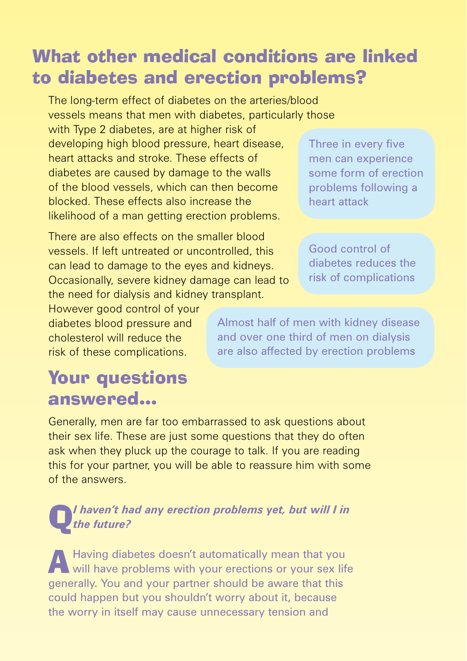### What other medical conditions are linked to diabetes and erection problems?

The long-term effect of diabetes on the arteries/blood vessels means that men with diabetes, particularly those with Type 2 diabetes, are at higher risk of developing high blood pressure, heart disease, heart attacks and stroke. These effects of diabetes are caused by damage to the walls of the blood vessels, which can then become blocked. These effects also increase the likelihood of a man getting erection problems.

There are also effects on the smaller blood vessels. If left untreated or uncontrolled, this can lead to damage to the eyes and kidneys. Occasionally, severe kidney damage can lead to the need for dialysis and kidney transplant.

However good control of your diabetes blood pressure and cholesterol will reduce the risk of these complications.

Three in every five men can experience some form of erection problems following a heart attack

Good control of diabetes reduces the risk of complications

Almost half of men with kidney disease and over one third of men on dialysis are also affected by erection problems

### Your questions answered…

Generally, men are far too embarrassed to ask questions about their sex life. These are just some questions that they do often ask when they pluck up the courage to talk. If you are reading this for your partner, you will be able to reassure him with some of the answers.

#### Q*I haven't had any erection problems yet, but will I in the future?*

A Having diabetes doesn't automatically mean that you will have problems with your erections or your sex life generally. You and your partner should be aware that this could happen but you shouldn't worry about it, because the worry in itself may cause unnecessary tension and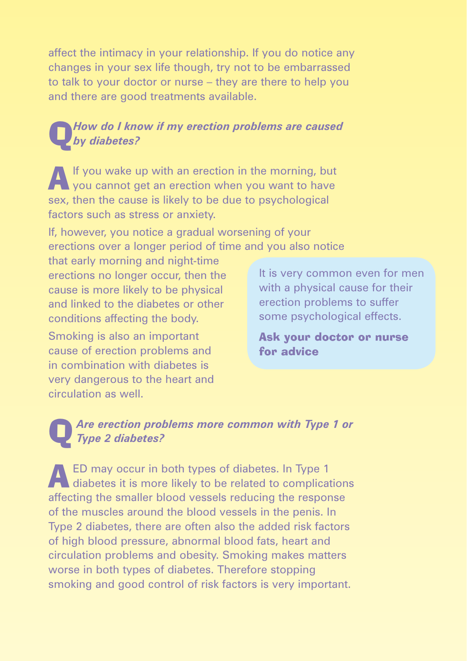affect the intimacy in your relationship. If you do notice any changes in your sex life though, try not to be embarrassed to talk to your doctor or nurse – they are there to help you and there are good treatments available.

#### Q*How do I know if my erection problems are caused by diabetes?*

AIf you wake up with an erection in the morning, but you cannot get an erection when you want to have sex, then the cause is likely to be due to psychological factors such as stress or anxiety.

If, however, you notice a gradual worsening of your erections over a longer period of time and you also notice

that early morning and night-time erections no longer occur, then the cause is more likely to be physical and linked to the diabetes or other conditions affecting the body.

Smoking is also an important cause of erection problems and in combination with diabetes is very dangerous to the heart and circulation as well.

It is very common even for men with a physical cause for their erection problems to suffer some psychological effects.

Ask your doctor or nurse for advice

#### Are erection problems more common with Type 1 or *Type 2 diabetes?*

AED may occur in both types of diabetes. In Type 1 diabetes it is more likely to be related to complications affecting the smaller blood vessels reducing the response of the muscles around the blood vessels in the penis. In Type 2 diabetes, there are often also the added risk factors of high blood pressure, abnormal blood fats, heart and circulation problems and obesity. Smoking makes matters worse in both types of diabetes. Therefore stopping smoking and good control of risk factors is very important.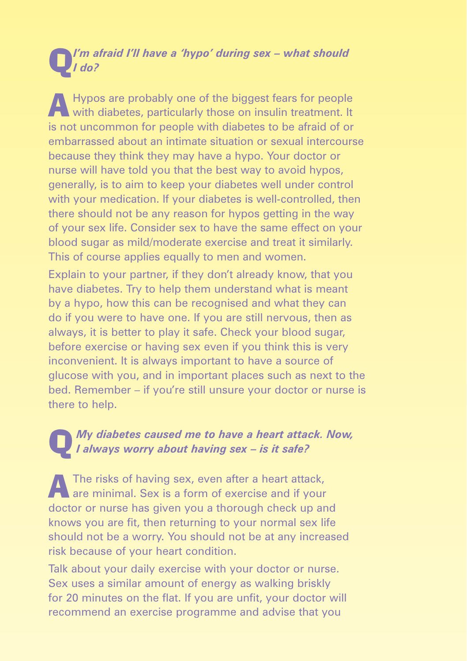#### Q*I'm afraid I'll have a 'hypo' during sex – what should I do?*

A Hypos are probably one of the biggest fears for people with diabetes, particularly those on insulin treatment. It is not uncommon for people with diabetes to be afraid of or embarrassed about an intimate situation or sexual intercourse because they think they may have a hypo. Your doctor or nurse will have told you that the best way to avoid hypos, generally, is to aim to keep your diabetes well under control with your medication. If your diabetes is well-controlled, then there should not be any reason for hypos getting in the way of your sex life. Consider sex to have the same effect on your blood sugar as mild/moderate exercise and treat it similarly. This of course applies equally to men and women.

Explain to your partner, if they don't already know, that you have diabetes. Try to help them understand what is meant by a hypo, how this can be recognised and what they can do if you were to have one. If you are still nervous, then as always, it is better to play it safe. Check your blood sugar, before exercise or having sex even if you think this is very inconvenient. It is always important to have a source of glucose with you, and in important places such as next to the bed. Remember – if you're still unsure your doctor or nurse is there to help.

# Q *My diabetes caused me to have a heart attack. Now, I always worry about having sex – is it safe?*

AThe risks of having sex, even after a heart attack, are minimal. Sex is a form of exercise and if your doctor or nurse has given you a thorough check up and knows you are fit, then returning to your normal sex life should not be a worry. You should not be at any increased risk because of your heart condition.

Talk about your daily exercise with your doctor or nurse. Sex uses a similar amount of energy as walking briskly for 20 minutes on the flat. If you are unfit, your doctor will recommend an exercise programme and advise that you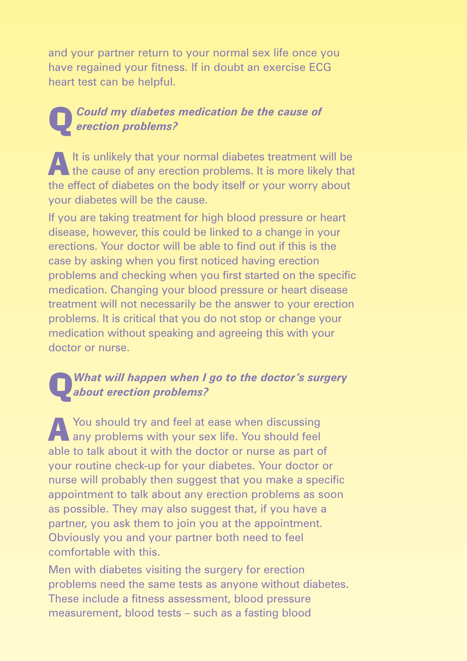and your partner return to your normal sex life once you have regained your fitness. If in doubt an exercise ECG heart test can be helpful.

#### Q*Could my diabetes medication be the cause of erection problems?*

A It is unlikely that your normal diabetes treatment will be the cause of any erection problems. It is more likely that the effect of diabetes on the body itself or your worry about your diabetes will be the cause.

If you are taking treatment for high blood pressure or heart disease, however, this could be linked to a change in your erections. Your doctor will be able to find out if this is the case by asking when you first noticed having erection problems and checking when you first started on the specific medication. Changing your blood pressure or heart disease treatment will not necessarily be the answer to your erection problems. It is critical that you do not stop or change your medication without speaking and agreeing this with your doctor or nurse.

#### Q*What will happen when I go to the doctor's surgery about erection problems?*

AYou should try and feel at ease when discussing any problems with your sex life. You should feel able to talk about it with the doctor or nurse as part of your routine check-up for your diabetes. Your doctor or nurse will probably then suggest that you make a specific appointment to talk about any erection problems as soon as possible. They may also suggest that, if you have a partner, you ask them to join you at the appointment. Obviously you and your partner both need to feel comfortable with this.

Men with diabetes visiting the surgery for erection problems need the same tests as anyone without diabetes. These include a fitness assessment, blood pressure measurement, blood tests – such as a fasting blood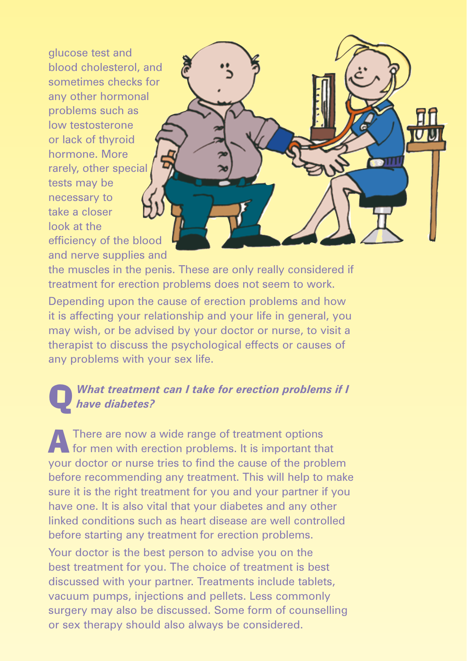glucose test and blood cholesterol, and sometimes checks for any other hormonal problems such as low testosterone or lack of thyroid hormone. More rarely, other special tests may be necessary to take a closer look at the efficiency of the blood and nerve supplies and



the muscles in the penis. These are only really considered if treatment for erection problems does not seem to work.

Depending upon the cause of erection problems and how it is affecting your relationship and your life in general, you may wish, or be advised by your doctor or nurse, to visit a therapist to discuss the psychological effects or causes of any problems with your sex life.

#### Q *What treatment can I take for erection problems if I have diabetes?*

AThere are now a wide range of treatment options for men with erection problems. It is important that your doctor or nurse tries to find the cause of the problem before recommending any treatment. This will help to make sure it is the right treatment for you and your partner if you have one. It is also vital that your diabetes and any other linked conditions such as heart disease are well controlled before starting any treatment for erection problems. Your doctor is the best person to advise you on the best treatment for you. The choice of treatment is best

discussed with your partner. Treatments include tablets, vacuum pumps, injections and pellets. Less commonly surgery may also be discussed. Some form of counselling or sex therapy should also always be considered.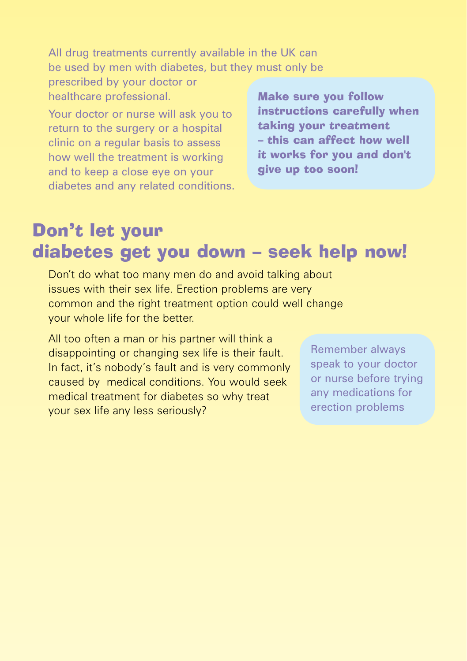All drug treatments currently available in the UK can be used by men with diabetes, but they must only be

prescribed by your doctor or healthcare professional.

Your doctor or nurse will ask you to return to the surgery or a hospital clinic on a regular basis to assess how well the treatment is working and to keep a close eye on your diabetes and any related conditions. Make sure you follow instructions carefully when taking your treatment – this can affect how well it works for you and don't give up too soon!

## Don't let your diabetes get you down – seek help now!

Don't do what too many men do and avoid talking about issues with their sex life. Erection problems are very common and the right treatment option could well change your whole life for the better.

All too often a man or his partner will think a disappointing or changing sex life is their fault. In fact, it's nobody's fault and is very commonly caused by medical conditions. You would seek medical treatment for diabetes so why treat your sex life any less seriously?

Remember always speak to your doctor or nurse before trying any medications for erection problems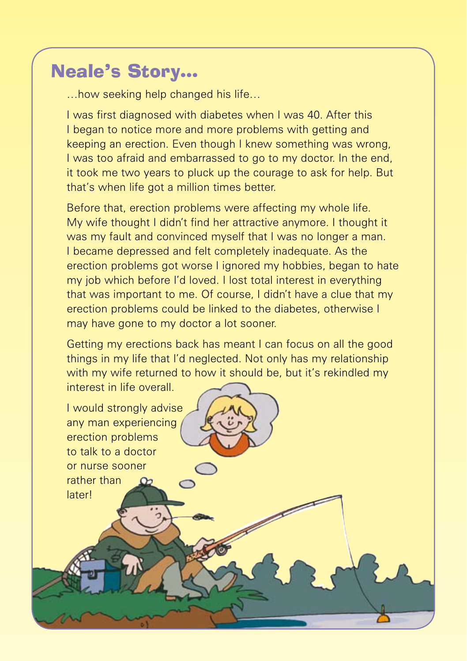## Neale's Story…

…how seeking help changed his life…

I was first diagnosed with diabetes when I was 40. After this I began to notice more and more problems with getting and keeping an erection. Even though I knew something was wrong, I was too afraid and embarrassed to go to my doctor. In the end, it took me two years to pluck up the courage to ask for help. But that's when life got a million times better.

Before that, erection problems were affecting my whole life. My wife thought I didn't find her attractive anymore. I thought it was my fault and convinced myself that I was no longer a man. I became depressed and felt completely inadequate. As the erection problems got worse I ignored my hobbies, began to hate my job which before I'd loved. I lost total interest in everything that was important to me. Of course, I didn't have a clue that my erection problems could be linked to the diabetes, otherwise I may have gone to my doctor a lot sooner.

Getting my erections back has meant I can focus on all the good things in my life that I'd neglected. Not only has my relationship with my wife returned to how it should be, but it's rekindled my interest in life overall.